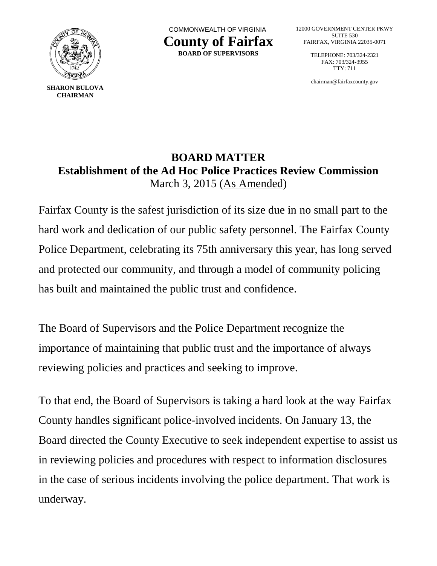

**SHARON BULOVA CHAIRMAN**

 COMMONWEALTH OF VIRGINIA **County of Fairfax BOARD OF SUPERVISORS**

12000 GOVERNMENT CENTER PKWY SUITE 530 FAIRFAX, VIRGINIA 22035-0071

> TELEPHONE: 703/324-2321 FAX: 703/324-3955 TTY: 711

> chairman@fairfaxcounty.gov

## **BOARD MATTER Establishment of the Ad Hoc Police Practices Review Commission** March 3, 2015 (As Amended)

Fairfax County is the safest jurisdiction of its size due in no small part to the hard work and dedication of our public safety personnel. The Fairfax County Police Department, celebrating its 75th anniversary this year, has long served and protected our community, and through a model of community policing has built and maintained the public trust and confidence.

The Board of Supervisors and the Police Department recognize the importance of maintaining that public trust and the importance of always reviewing policies and practices and seeking to improve.

To that end, the Board of Supervisors is taking a hard look at the way Fairfax County handles significant police-involved incidents. On January 13, the Board directed the County Executive to seek independent expertise to assist us in reviewing policies and procedures with respect to information disclosures in the case of serious incidents involving the police department. That work is underway.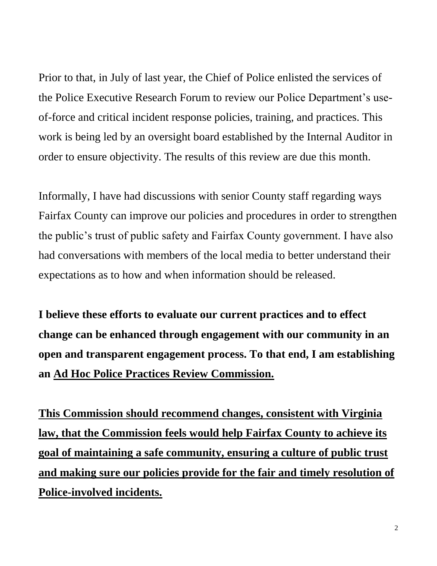Prior to that, in July of last year, the Chief of Police enlisted the services of the Police Executive Research Forum to review our Police Department's useof-force and critical incident response policies, training, and practices. This work is being led by an oversight board established by the Internal Auditor in order to ensure objectivity. The results of this review are due this month.

Informally, I have had discussions with senior County staff regarding ways Fairfax County can improve our policies and procedures in order to strengthen the public's trust of public safety and Fairfax County government. I have also had conversations with members of the local media to better understand their expectations as to how and when information should be released.

**I believe these efforts to evaluate our current practices and to effect change can be enhanced through engagement with our community in an open and transparent engagement process. To that end, I am establishing an Ad Hoc Police Practices Review Commission.** 

**This Commission should recommend changes, consistent with Virginia law, that the Commission feels would help Fairfax County to achieve its goal of maintaining a safe community, ensuring a culture of public trust and making sure our policies provide for the fair and timely resolution of Police-involved incidents.**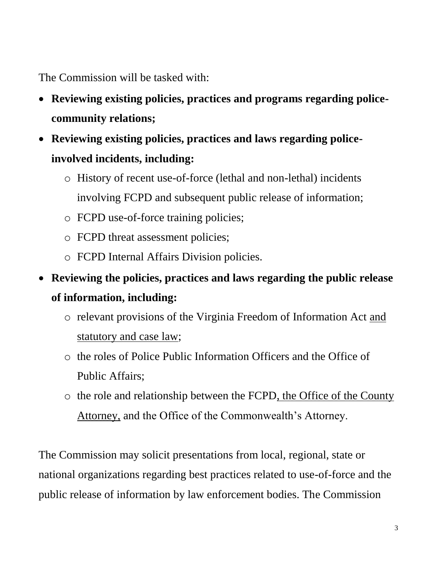The Commission will be tasked with:

- **Reviewing existing policies, practices and programs regarding policecommunity relations;**
- **Reviewing existing policies, practices and laws regarding policeinvolved incidents, including:**
	- o History of recent use-of-force (lethal and non-lethal) incidents involving FCPD and subsequent public release of information;
	- o FCPD use-of-force training policies;
	- o FCPD threat assessment policies;
	- o FCPD Internal Affairs Division policies.
- **Reviewing the policies, practices and laws regarding the public release of information, including:**
	- o relevant provisions of the Virginia Freedom of Information Act and statutory and case law;
	- o the roles of Police Public Information Officers and the Office of Public Affairs;
	- o the role and relationship between the FCPD, the Office of the County Attorney, and the Office of the Commonwealth's Attorney.

The Commission may solicit presentations from local, regional, state or national organizations regarding best practices related to use-of-force and the public release of information by law enforcement bodies. The Commission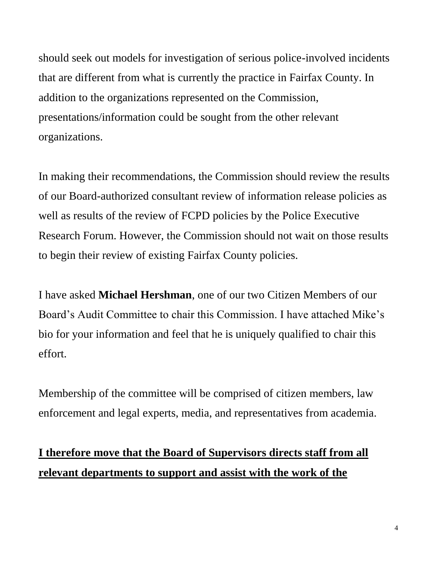should seek out models for investigation of serious police-involved incidents that are different from what is currently the practice in Fairfax County. In addition to the organizations represented on the Commission, presentations/information could be sought from the other relevant organizations.

In making their recommendations, the Commission should review the results of our Board-authorized consultant review of information release policies as well as results of the review of FCPD policies by the Police Executive Research Forum. However, the Commission should not wait on those results to begin their review of existing Fairfax County policies.

I have asked **Michael Hershman**, one of our two Citizen Members of our Board's Audit Committee to chair this Commission. I have attached Mike's bio for your information and feel that he is uniquely qualified to chair this effort.

Membership of the committee will be comprised of citizen members, law enforcement and legal experts, media, and representatives from academia.

## **I therefore move that the Board of Supervisors directs staff from all relevant departments to support and assist with the work of the**